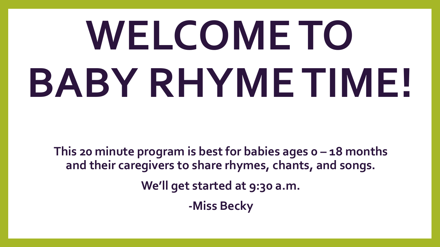# **WELCOME TO BABY RHYME TIME!**

**This 20 minute program is best for babies ages 0 – 18 months and their caregivers to share rhymes, chants, and songs. We'll get started at 9:30 a.m. -Miss Becky**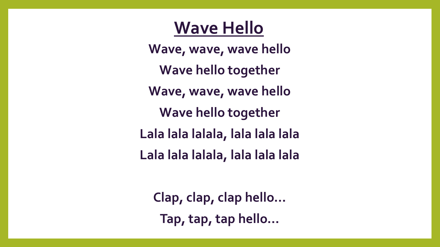#### **Wave Hello**

**Wave, wave, wave hello Wave hello together Wave, wave, wave hello Wave hello together Lala lala lalala, lala lala lala Lala lala lalala, lala lala lala**

**Clap, clap, clap hello… Tap, tap, tap hello…**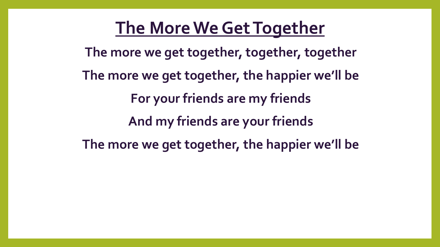#### **The More We GetTogether**

**The more we get together, together, together The more we get together, the happier we'll be For your friends are my friends And my friends are your friends The more we get together, the happier we'll be**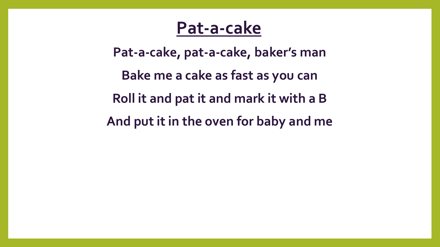#### **Pat-a-cake**

**Pat-a-cake, pat-a-cake, baker's man Bake me a cake as fast as you can Roll it and pat it and mark it with a B And put it in the oven for baby and me**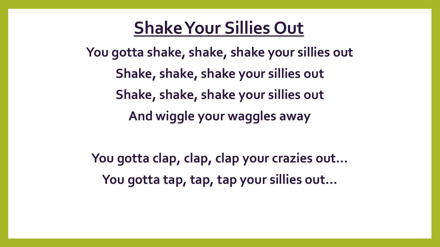#### **Shake Your Sillies Out**

**You gotta shake, shake, shake your sillies out Shake, shake, shake your sillies out Shake, shake, shake your sillies out And wiggle your waggles away**

**You gotta clap, clap, clap your crazies out… You gotta tap, tap, tap your sillies out…**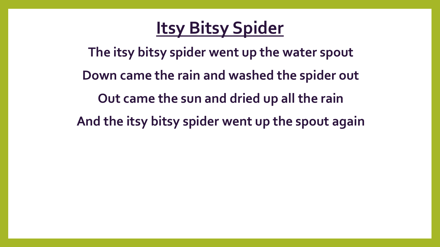#### **Itsy Bitsy Spider**

**The itsy bitsy spider went up the water spout Down came the rain and washed the spider out Out came the sun and dried up all the rain And the itsy bitsy spider went up the spout again**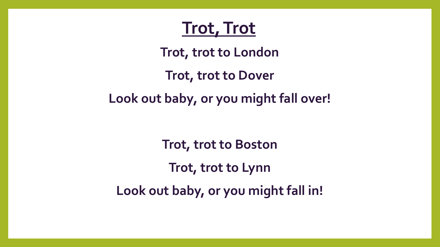#### **Trot, Trot**

**Trot, trot to London**

**Trot, trot to Dover**

**Look out baby, or you might fall over!**

**Trot, trot to Boston Trot, trot to Lynn Look out baby, or you might fall in!**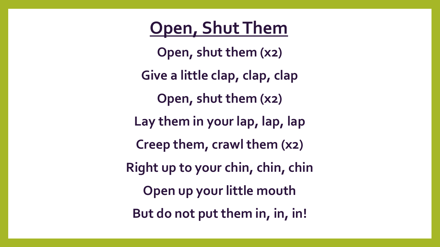#### **Open, Shut Them**

**Open, shut them (x2) Give a little clap, clap, clap Open, shut them (x2) Lay them in your lap, lap, lap Creep them, crawl them (x2) Right up to your chin, chin, chin Open up your little mouth But do not put them in, in, in!**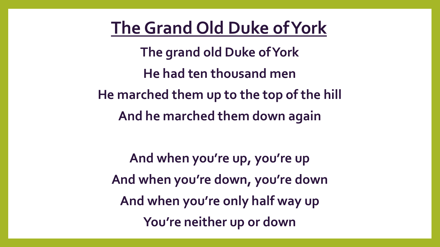#### **The Grand Old Duke of York**

**The grand old Duke of York He had ten thousand men He marched them up to the top of the hill And he marched them down again**

**And when you're up, you're up And when you're down, you're down And when you're only half way up You're neither up or down**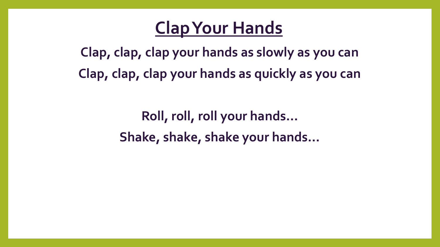#### **Clap Your Hands**

**Clap, clap, clap your hands as slowly as you can Clap, clap, clap your hands as quickly as you can**

> **Roll, roll, roll your hands… Shake, shake, shake your hands…**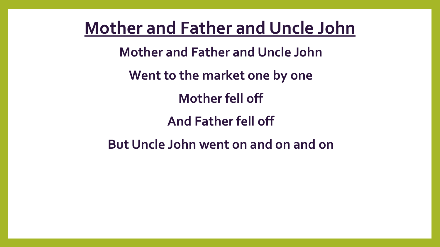**Mother and Father and Uncle John**

**Mother and Father and Uncle John**

**Went to the market one by one**

**Mother fell off**

**And Father fell off**

**But Uncle John went on and on and on**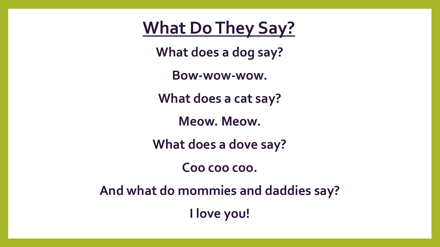**What Do They Say?**

**What does a dog say?**

**Bow-wow-wow.**

**What does a cat say?**

**Meow. Meow.**

**What does a dove say?**

**Coo coo coo.**

**And what do mommies and daddies say?**

**I love you!**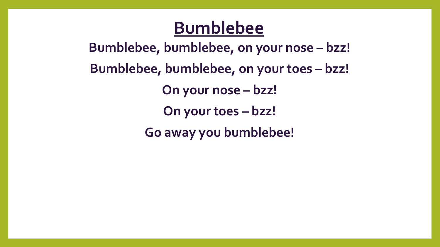#### **Bumblebee**

**Bumblebee, bumblebee, on your nose – bzz! Bumblebee, bumblebee, on your toes – bzz! On your nose – bzz! On your toes – bzz! Go away you bumblebee!**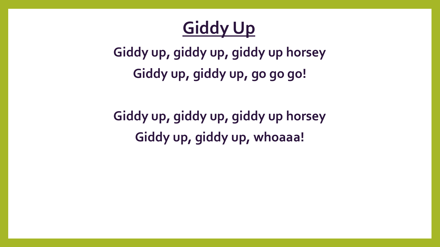### **Giddy Up**

**Giddy up, giddy up, giddy up horsey Giddy up, giddy up, go go go!**

**Giddy up, giddy up, giddy up horsey Giddy up, giddy up, whoaaa!**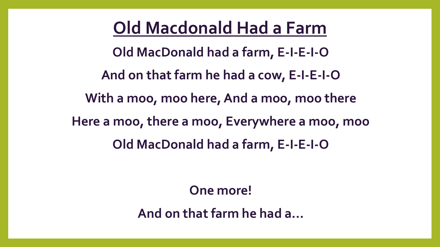**Old Macdonald Had a Farm Old MacDonald had a farm, E-I-E-I-O And on that farm he had a cow, E-I-E-I-O With a moo, moo here, And a moo, moo there Here a moo, there a moo, Everywhere a moo, moo Old MacDonald had a farm, E-I-E-I-O**

**One more!**

**And on that farm he had a...**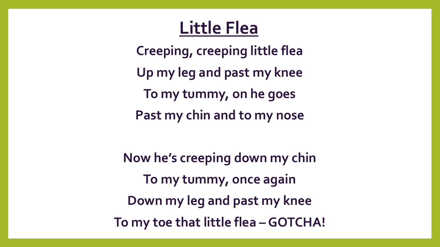#### **Little Flea**

**Creeping, creeping little flea Up my leg and past my knee To my tummy, on he goes Past my chin and to my nose**

**Now he's creeping down my chin To my tummy, once again Down my leg and past my knee To my toe that little flea –GOTCHA!**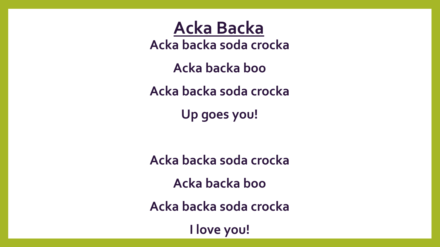**Acka backa soda crocka Acka Backa**

**Acka backa boo**

**Acka backa soda crocka**

**Up goes you!**

**Acka backa soda crocka Acka backa boo Acka backa soda crocka**

**I love you!**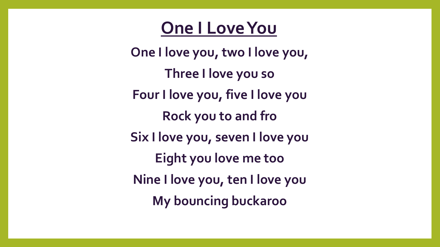#### **One I Love You**

**One I love you, two I love you, Three I love you so Four I love you, five I love you Rock you to and fro Six I love you, seven I love you Eight you love me too Nine I love you, ten I love you My bouncing buckaroo**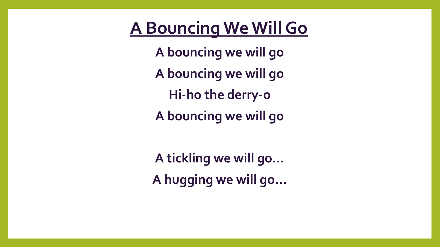#### **A Bouncing WeWill Go**

**A bouncing we will go A bouncing we will go Hi-ho the derry-o A bouncing we will go**

**A tickling we will go… A hugging we will go…**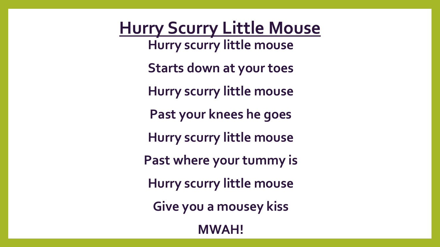**Hurry Scurry Little Mouse Hurry scurry little mouse Starts down at your toes Hurry scurry little mouse Past your knees he goes Hurry scurry little mouse Past where your tummy is Hurry scurry little mouse Give you a mousey kiss MWAH!**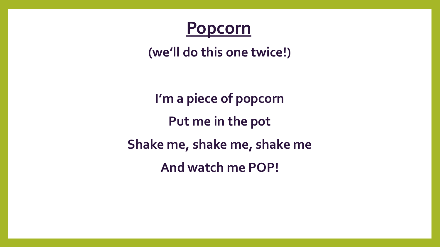

**(we'll do this one twice!)**

**I'm a piece of popcorn Put me in the pot Shake me, shake me, shake me And watch me POP!**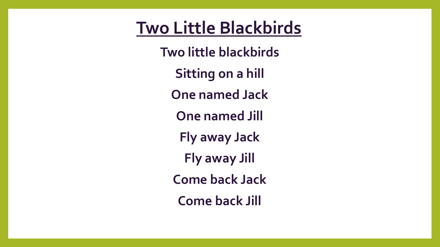#### **Two Little Blackbirds**

**Two little blackbirds Sitting on a hill One named Jack One named Jill Fly away Jack Fly away Jill Come back Jack Come back Jill**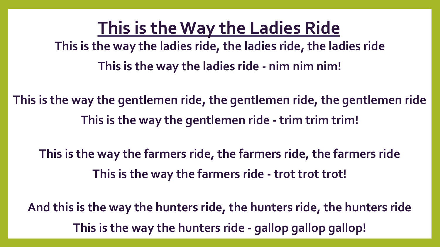**This is the Way the Ladies Ride This is the way the ladies ride, the ladies ride, the ladies ride This is the way the ladies ride - nim nim nim!**

**This is the way the gentlemen ride, the gentlemen ride, the gentlemen ride This is the way the gentlemen ride - trim trim trim!**

**This is the way the farmers ride, the farmers ride, the farmers ride This is the way the farmers ride - trot trot trot!**

**And this is the way the hunters ride, the hunters ride, the hunters ride This is the way the hunters ride - gallop gallop gallop!**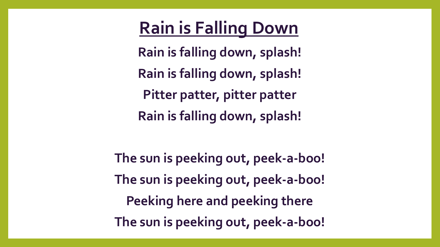#### **Rain is Falling Down**

**Rain is falling down, splash! Rain is falling down, splash! Pitter patter, pitter patter Rain is falling down, splash!**

**The sun is peeking out, peek-a-boo! The sun is peeking out, peek-a-boo! Peeking here and peeking there The sun is peeking out, peek-a-boo!**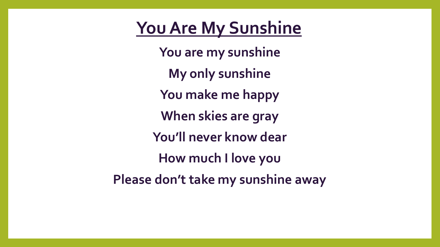#### **You Are My Sunshine**

**You are my sunshine My only sunshine You make me happy When skies are gray You'll never know dear How much I love you Please don't take my sunshine away**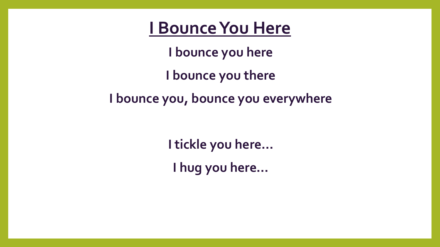#### **I BounceYou Here**

**I bounce you here I bounce you there I bounce you, bounce you everywhere**

> **I tickle you here… I hug you here…**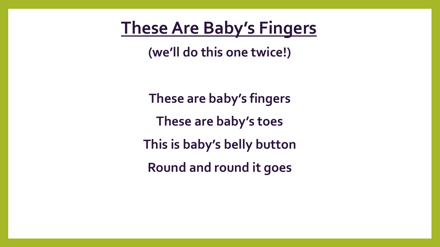#### **TheseAre Baby's Fingers**

**(we'll do this one twice!)**

**These are baby's fingers These are baby's toes This is baby's belly button Round and round it goes**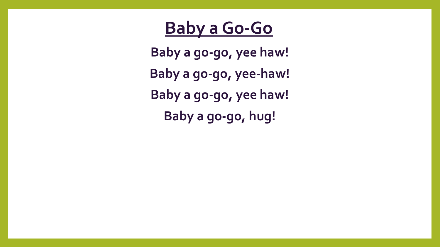#### **Baby a Go-Go**

**Baby a go-go, yee haw! Baby a go-go, yee-haw! Baby a go-go, yee haw! Baby a go-go, hug!**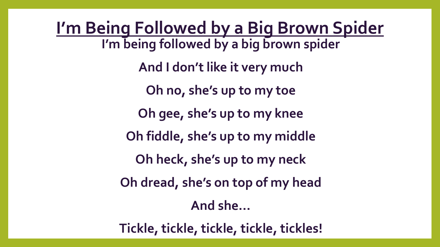**I'm Being Followed by a Big Brown Spider I'm being followed by a big brown spider And I don't like it very much Oh no, she's up to my toe Oh gee, she's up to my knee Oh fiddle, she's up to my middle Oh heck, she's up to my neck Oh dread, she's on top of my head And she…**

**Tickle, tickle, tickle, tickle, tickles!**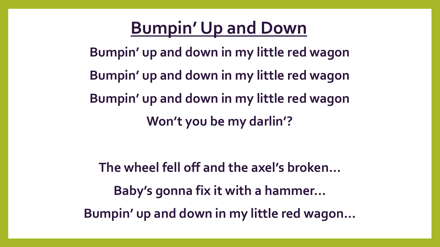#### **Bumpin' Up and Down**

**Bumpin' up and down in my little red wagon Bumpin' up and down in my little red wagon Bumpin' up and down in my little red wagon Won't you be my darlin'?**

**The wheel fell off and the axel's broken… Baby's gonna fix it with a hammer… Bumpin' up and down in my little red wagon…**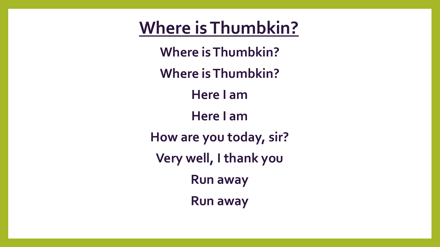**Where isThumbkin?**

**Where is Thumbkin?**

**Where is Thumbkin?**

**Here I am**

**Here I am**

**How are you today, sir?**

**Very well, I thank you**

**Run away**

**Run away**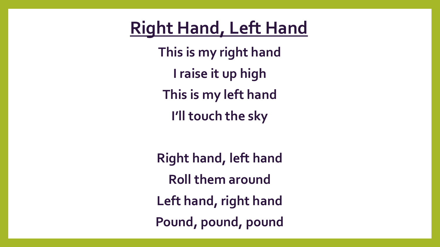#### **Right Hand, Left Hand**

**This is my right hand I raise it up high This is my left hand I'll touch the sky**

**Right hand, left hand Roll them around Left hand, right hand Pound, pound, pound**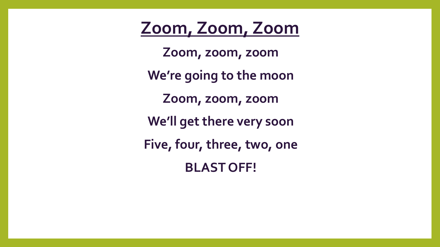**Zoom, Zoom, Zoom**

**Zoom, zoom, zoom We're going to the moon Zoom, zoom, zoom We'll get there very soon Five, four, three, two, one BLAST OFF!**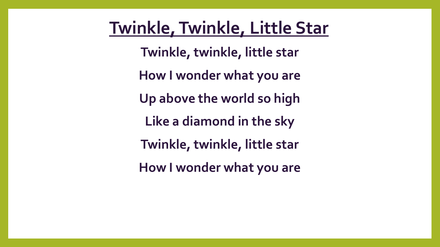#### **Twinkle, Twinkle, Little Star**

**Twinkle, twinkle, little star How I wonder what you are Up above the world so high Like a diamond in the sky Twinkle, twinkle, little star How I wonder what you are**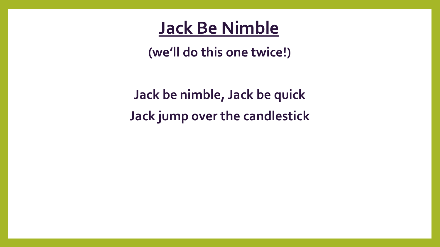#### **Jack Be Nimble**

**(we'll do this one twice!)**

**Jack be nimble, Jack be quick Jack jump over the candlestick**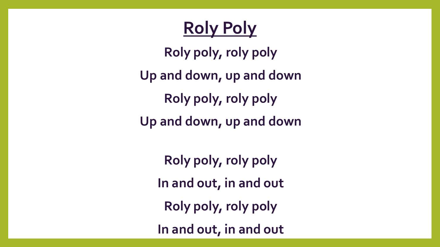### **Roly Poly**

**Roly poly, roly poly Up and down, up and down Roly poly, roly poly Up and down, up and down**

**Roly poly, roly poly In and out, in and out Roly poly, roly poly In and out, in and out**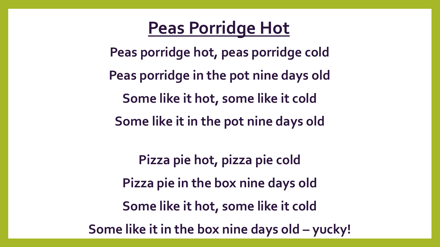#### **Peas Porridge Hot**

**Peas porridge hot, peas porridge cold Peas porridge in the pot nine days old Some like it hot, some like it cold Some like it in the pot nine days old**

**Pizza pie hot, pizza pie cold Pizza pie in the box nine days old Some like it hot, some like it cold Some like it in the box nine days old – yucky!**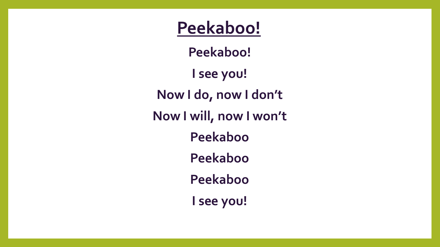**Peekaboo!**

**Peekaboo!** 

**I see you! Now I do, now I don't**

**Now I will, now I won't**

**Peekaboo**

**Peekaboo**

**Peekaboo**

**I see you!**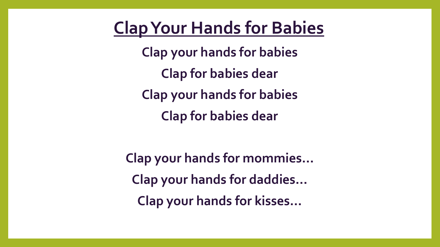#### **Clap Your Hands for Babies**

**Clap your hands for babies Clap for babies dear Clap your hands for babies Clap for babies dear**

**Clap your hands for mommies… Clap your hands for daddies… Clap your hands for kisses…**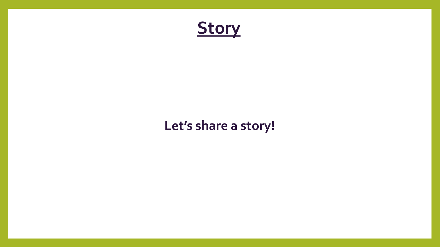

#### **Let's share a story!**